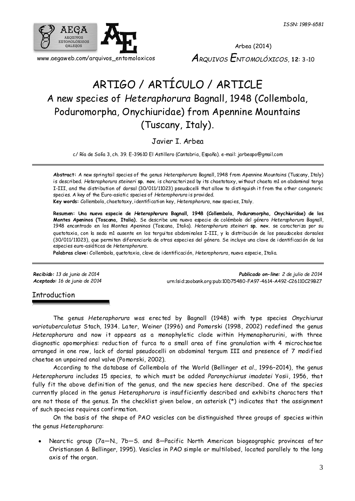

Arbea (2014) *ARQUIVOS ENTOMOLÓXICOS*, **12**: 3-10

# ARTIGO / ARTÍCULO / ARTICLE A new species of *Heteraphorura* Bagnall, 1948 (Collembola, Poduromorpha, Onychiuridae) from Apennine Mountains (Tuscany, Italy).

Javier I. Arbea

c/ Ría de Solía 3, ch. 39. E-39610 El Astillero (Cantabria, España). e-mail: jarbeapo@gmail.com

**Abstract:** A new springtail species of the genus *Heteraphorura* Bagnall, 1948 from Apennine Mountains (Tuscany, Italy) is described. *Heteraphorura steineri* **sp. nov.** is characterized by its chaetotaxy, without chaeta m1 on abdominal terga I-III, and the distribution of dorsal (30/011/11023) pseudocelli that allow to distinguish it from the other congeneric species. A key of the Euro-asiatic species of *Heteraphorura* is provided.

**Key words:** Collembola, chaetotaxy, identification key, *Heteraphorura*, new species, Italy.

**Resumen: Una nueva especie de** *Heteraphorura* **Bagnall, 1948 (Collembola, Poduromorpha, Onychiuridae) de los Montes Apeninos (Toscana, Italia).** Se describe una nueva especie de colémbolo del género *Heteraphorura* Bagnall, 1948 encontrado en los Montes Apeninos (Toscana, Italia). *Heteraphorura steineri* **sp. nov.** se caracteriza por su quetotaxia, con la seda m1 ausente en los terguitos abdominales I-III, y la distribución de los pseudocelos dorsales (30/011/11023), que permiten diferenciarla de otras especies del género. Se incluye una clave de identificación de las especies euro-asiáticas de *Heteraphorura*.

**Palabras clave:** Collembola, quetotaxia, clave de identificación, *Heteraphorura*, nueva especie, Italia.

*Recibido: 13 de junio de 2014 Publicado on-line: 2 de julio de 2014 Aceptado: 16 de junio de 2014* [urn:lsid:zoobank.org:pub:10D75480-FA97-4614-A492-C26110C29B27](http://www.zoobank.org/urn:lsid:zoobank.org:pub:10D75480-FA97-4614-A492-C26110C29B27)

## Introduction

The genus *Heteraphorura* was erected by Bagnall (1948) with type species *Onychiurus variotuberculatus* Stach, 1934. Later, Weiner (1996) and Pomorski (1998, 2002) redefined the genus *Heteraphorura* and now it appears as a monophyletic clade within Hymenaphorurini, with three diagnostic apomorphies: reduction of furca to a small area of fine granulation with 4 microchaetae arranged in one row, lack of dorsal pseudocelli on abdominal tergum III and presence of 7 modified chaetae on unpaired anal valve (Pomorski, 2002).

According to the database of Collembola of the World (Bellinger *et al.,* 1996–2014), the genus *Heteraphorura* includes 15 species, to which must be added *Paronychiurus imadatei* Yosii, 1956, that fully fit the above definition of the genus, and the new species here described. One of the species currently placed in the genus *Heteraphorura* is insufficiently described and exhibits characters that are not those of the genus. In the checklist given below, an asterisk (\*) indicates that the assignment of such species requires confirmation.

On the basis of the shape of PAO vesicles can be distinguished three groups of species within the genus *Heteraphorura*:

 Nearctic group (7a—N., 7b—S. and 8—Pacific North American biogeographic provinces after Christiansen & Bellinger, 1995). Vesicles in PAO simple or multilobed, located parallely to the long axis of the organ.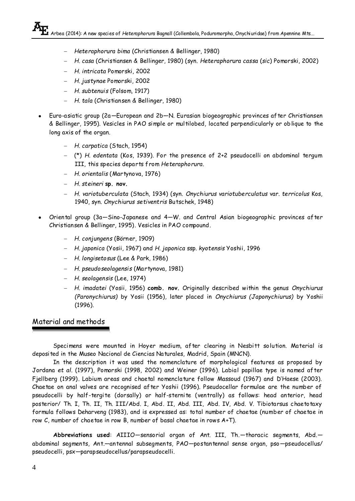- *Heteraphorura bima* (Christiansen & Bellinger, 1980)
- *H. casa* (Christiansen & Bellinger, 1980) (syn. *Heteraphorura cassa* (*sic*) Pomorski, 2002)
- *H. intricata* Pomorski, 2002
- *H. justynae* Pomorski, 2002
- *H. subtenuis* (Folsom, 1917)
- *H. tala* (Christiansen & Bellinger, 1980)
- Euro-asiatic group (2a—European and 2b—N. Eurasian biogeographic provinces after Christiansen & Bellinger, 1995). Vesicles in PAO simple or multilobed, located perpendicularly or oblique to the long axis of the organ.
	- *H. carpatica* (Stach, 1954)
	- (\*) *H. edentata* (Kos, 1939). For the presence of 2+2 pseudocelli on abdominal tergum III, this species departs from *Heteraphorura*.
	- *H. orientalis* (Martynova, 1976)
	- *H. steineri* **sp. nov.**
	- *H. variotuberculata* (Stach, 1934) (syn. *Onychiurus variotuberculatus* var. *terricolus* Kos, 1940, syn. *Onychiurus setiventris* Butschek, 1948)
- Oriental group (3a—Sino-Japanese and 4—W. and Central Asian biogeographic provinces after Christiansen & Bellinger, 1995). Vesicles in PAO compound.
	- *H. conjungens* (Börner, 1909)
	- *H. japonica* (Yosii, 1967) and *H. japonica* ssp. *kyotensis* Yoshii, 1996
	- *H. longisetosus* (Lee & Park, 1986)
	- *H. pseudoseolagensis* (Martynova, 1981)
	- *H. seolagensis* (Lee, 1974)
	- *H. imadatei* (Yosii, 1956) **comb. nov.** Originally described within the genus *Onychiurus (Paronychiurus)* by Yosii (1956), later placed in *Onychiurus (Japonychiurus)* by Yoshii (1996).

# Material and methods

Specimens were mounted in Hoyer medium, after clearing in Nesbitt solution. Material is deposited in the Museo Nacional de Ciencias Naturales, Madrid, Spain (MNCN).

In the description it was used the nomenclature of morphological features as proposed by Jordana *et al.* (1997), Pomorski (1998, 2002) and Weiner (1996). Labial papillae type is named after Fjellberg (1999). Labium areas and chaetal nomenclature follow Massoud (1967) and D'Haese (2003). Chaetae on anal valves are recognised after Yoshii (1996). Pseudocellar formulae are the number of pseudocelli by half-tergite (dorsally) or half-sternite (ventrally) as follows: head anterior, head posterior/ Th. I, Th. II, Th. III/Abd. I, Abd. II, Abd. III, Abd. IV, Abd. V. Tibiotarsus chaetotaxy formula follows Deharveng (1983), and is expressed as: total number of chaetae (number of chaetae in row C, number of chaetae in row B, number of basal chaetae in rows A+T).

**Abbreviations used**: AIIIO—sensorial organ of Ant. III, Th.—thoracic segments, Abd. abdominal segments, Ant.—antennal subsegments, PAO—postantennal sense organ, pso—pseudocellus/ pseudocelli, psx—parapseudocellus/parapseudocelli.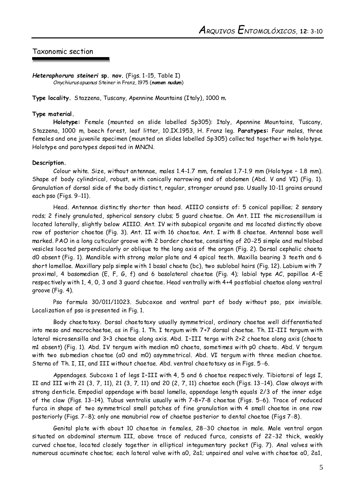## Taxonomic section

*Heteraphorura steineri* **sp. nov.** (Figs. 1-15, Table I) *Onychiurus apuanus* Steiner in Franz, 1975 (*nomen nudum*)

**Type locality.** Stazzena, Tuscany, Apennine Mountains (Italy), 1000 m.

#### **Type material.**

**Holotype:** Female (mounted on slide labelled Sp305): Italy, Apennine Mountains, Tuscany, Stazzena, 1000 m, beech forest, leaf litter, 10.IX.1953, H. Franz leg. **Paratypes:** Four males, three females and one juvenile specimen (mounted on slides labelled Sp305) collected together with holotype. Holotype and paratypes deposited in MNCN.

#### **Description.**

Colour white. Size, without antennae, males 1.4-1.7 mm, females 1.7-1.9 mm (Holotype – 1.8 mm). Shape of body cylindrical, robust, with conically narrowing end of abdomen (Abd. V and VI) (Fig. 1). Granulation of dorsal side of the body distinct, regular, stronger around pso. Usually 10-11 grains around each pso (Figs.  $9-11$ ).

Head. Antennae distinctly shorter than head. AIIIO consists of: 5 conical papillae; 2 sensory rods; 2 finely granulated, spherical sensory clubs; 5 guard chaetae. On Ant. III the microsensillum is located laterally, slightly below AIIIO. Ant. IV with subapical organite and ms located distinctly above row of posterior chaetae (Fig. 3). Ant. II with 16 chaetae. Ant. I with 8 chaetae. Antennal base well marked. PAO in a long cuticular groove with 2 border chaetae, consisting of 20-25 simple and multilobed vesicles located perpendicularly or oblique to the long axis of the organ (Fig. 2). Dorsal cephalic chaeta d0 absent (Fig. 1). Mandible with strong molar plate and 4 apical teeth. Maxilla bearing 3 teeth and 6 short lamellae. Maxillary palp simple with 1 basal chaeta (bc), two sublobal hairs (Fig. 12). Labium with 7 proximal, 4 basomedian (E, F, G, f) and 6 basolateral chaetae (Fig. 4); labial type AC, papillae A–E respectively with 1, 4, 0, 3 and 3 guard chaetae. Head ventrally with 4+4 postlabial chaetae along ventral groove (Fig. 4).

Pso formula 30/011/11023. Subcoxae and ventral part of body without pso, psx invisible. Localization of pso is presented in Fig. 1.

Body chaetotaxy. Dorsal chaetotaxy usually symmetrical, ordinary chaetae well differentiated into meso and macrochaetae, as in Fig. 1. Th. I tergum with 7+7 dorsal chaetae. Th. II-III tergum with lateral microsensilla and 3+3 chaetae along axis. Abd. I–III terga with 2+2 chaetae along axis (chaeta m1 absent) (Fig. 1). Abd. IV tergum with median m0 chaeta, sometimes with p0 chaeta. Abd. V tergum with two submedian chaetae (a0 and m0) asymmetrical. Abd. VI tergum with three median chaetae. Sterna of Th. I, II, and III without chaetae. Abd. ventral chaetotaxy as in Figs. 5-6.

Appendages. Subcoxa 1 of legs I–III with 4, 5 and 6 chaetae respectively. Tibiotarsi of legs I, II and III with 21 (3, 7, 11), 21 (3, 7, 11) and 20 (2, 7, 11) chaetae each (Figs. 13-14). Claw always with strong denticle. Empodial appendage with basal lamella, appendage length equals 2/3 of the inner edge of the claw (Figs. 13-14). Tubus ventralis usually with 7-8+7-8 chaetae (Figs. 5-6). Trace of reduced furca in shape of two symmetrical small patches of fine granulation with 4 small chaetae in one row posteriorly (Figs. 7-8); only one manubrial row of chaetae posterior to dental chaetae (Figs 7-8).

Genital plate with about 10 chaetae in females, 28-30 chaetae in male. Male ventral organ situated on abdominal sternum III, above trace of reduced furca, consists of 22-32 thick, weakly curved chaetae, located closely together in elliptical integumentary pocket (Fig. 7). Anal valves with numerous acuminate chaetae; each lateral valve with a0, 2a1; unpaired anal valve with chaetae a0, 2a1,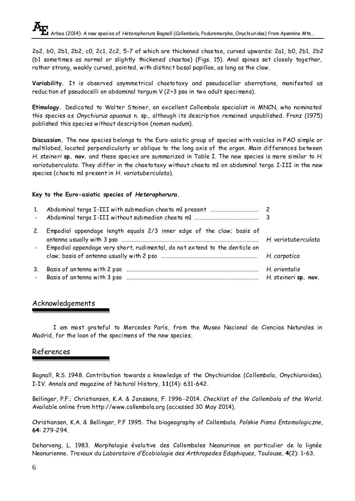2a2, b0, 2b1, 2b2, c0, 2c1, 2c2, 5-7 of which are thickened chaetae, curved upwards: 2a1, b0, 2b1, 2b2 (b1 sometimes as normal or slightly thickened chaetae) (Figs. 15). Anal spines set closely together, rather strong, weakly curved, pointed, with distinct basal papillae, as long as the claw.

**Variability.** It is observed asymmetrical chaetotaxy and pseudocellar aberrations, manifested as reduction of pseudocelli on abdominal tergum V (2+3 pso in two adult specimens).

**Etimology.** Dedicated to Walter Steiner, an excellent Collembola specialist in MNCN, who nominated this species as *Onychiurus apuanus* n. sp., although its description remained unpublished. Franz (1975) published this species without description (*nomen nudum*).

**Discussion.** The new species belongs to the Euro -asiatic group of species with vesicles in PAO simple or multilobed, located perpendicularly or oblique to the long axis of the organ. Main differences between *H. steineri* **sp. nov.** and these species are summarized in Table I. The new species is more similar to *H. variotuberculata*. They differ in the chaetotaxy without chaeta m1 on abdominal terga I-III in the new species (chaeta m1 present in *H. variotuberculata*).

### **Key to the Euro-asiatic species of** *Heteraphorura***.**

| 1.             |                                                                                                                                                                                                                                                           |                                       |
|----------------|-----------------------------------------------------------------------------------------------------------------------------------------------------------------------------------------------------------------------------------------------------------|---------------------------------------|
| 2 <sub>1</sub> | Empodial appendage length equals 2/3 inner edge of the claw; basis of<br>antenna usually with 3 pso manufactured and manufactured and psychology of the variotuberculata<br>- Empodial appendage very short, rudimental, do not extend to the denticle on |                                       |
|                | claw; basis of antenna usually with 2 pso manufactured and manufactured H. carpatica                                                                                                                                                                      |                                       |
| 3.             |                                                                                                                                                                                                                                                           | H. orientalis<br>H. steineri sp. nov. |

# Acknowledgements

I am most grateful to Mercedes París, from the Museo Nacional de Ciencias Naturales in Madrid, for the loan of the specimens of the new species.

# References

Bagnall, R.S. 1948. Contribution towards a knowledge of the Onychiuridae (Collembola, Onychiuroidea). I-IV. Annals and magazine of Natural History, **11**(14): 631-642.

Bellinger, P.F.; Christiansen, K.A. & Janssens, F. 1996-2014. *Checklist of the Collembola of the World*. Available online from http://www.collembola.org (accessed 30 May 2014).

Christiansen, K.A. & Bellinger, P.F 1995. The biogeography of Collembola. *Polskie Pismo Entomologiczne*, **64**: 279-294.

Deharveng, L. 1983. Morphologie évolutive des Collemboles Neanurinae en particulier de la lignée Neanurienne. *Travaux du Laboratoire d'Ecobiologie des Arthropodes Edaphiques*, Toulouse, **4**(2): 1–63.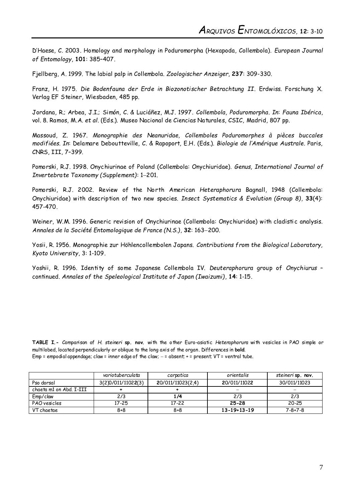D'Haese, C. 2003. Homology and morphology in Poduromorpha (Hexapoda, Collembola). *European Journal of Entomology*, **101**: 385–407.

Fjellberg, A. 1999. The labial palp in Collembola. *Zoologischer Anzeiger*, **237**: 309-330.

Franz, H. 1975. *Die Bodenfauna der Erde in Biozonotischer Betrachtung II*. Erdwiss. Forschung X. Verlag EF Steiner, Wiesbaden, 485 pp.

Jordana, R.; Arbea, J.I.; Simón, C. & Luciáñez, M.J. 1997. *Collembola, Poduromorpha*. *In*: *Fauna Ibérica*, vol. 8. Ramos, M.A. *et al*. (Eds.). Museo Nacional de Ciencias Naturales, CSIC, Madrid, 807 pp.

Massoud, Z. 1967. *Monographie des Neanuridae, Collemboles Poduromorphes à pièces buccales modifiées*. *In*: Delamare Deboutteville, C. & Rapoport, E.H. (Eds.). *Biologie de l'Amérique Australe*. Paris, CNRS, III, 7–399.

Pomorski, R.J. 1998. Onychiurinae of Poland (Collembola: Onychiuridae). *Genus, International Journal of Invertebrate Taxonomy (Supplement)*: 1-201.

Pomorski, R.J. 2002. Review of the North American *Heteraphorura* Bagnall, 1948 (Collembola: Onychiuridae) with description of two new species. *Insect Systematics & Evolution (Group 8)*, **33**(4): 457-470.

Weiner, W.M. 1996. Generic revision of Onychiurinae (Collembola: Onychiuridae) with cladisti c analysis. *Annales de la Société Entomologique de France (N.S.)*, **32**: 163-200.

Yosii, R. 1956. Monographie zur Höhlencollembolen Japans. *Contributions from the Biological Laboratory, Kyoto University*, 3: 1-109.

Yoshii, R. 1996. Identity of some Japanese Collembola IV. *Deuteraphorura* group of *Onychiurus* – continued. *Annales of the Speleological Institute of Japan (Iwaizumi)*, **14**: 1-15.

**TABLE I.-** Comparison of *H. steineri* **sp. nov.** with the other Euro-asiatic *Heteraphorura* with vesicles in PAO simple or multilobed, located perpendicularly or oblique to the long axis of the organ. Differences in **bold**. Emp = empodial appendage; claw = inner edge of the claw; = absent; + = present; VT = ventral tube.

|                         | variotuberculata   | carpatica         | orientalis          | steineri sp. nov. |
|-------------------------|--------------------|-------------------|---------------------|-------------------|
| Pso dorsal              | 3(2)0/011/11022(3) | 20/011/11023(2.4) | 20/011/11022        | 30/011/11023      |
| chaeta m1 on Abd. I-III |                    |                   |                     |                   |
| Emp/claw                | 2/3                | 1/4               | 2/3                 | 2/3               |
| PAO vesicles            | 17-25              | $17 - 22$         | $25 - 28$           | 20-25             |
| VT chaetae              | $8 + 8$            | $8 + 8$           | $13 - 19 + 13 - 19$ | $7 - 8 + 7 - 8$   |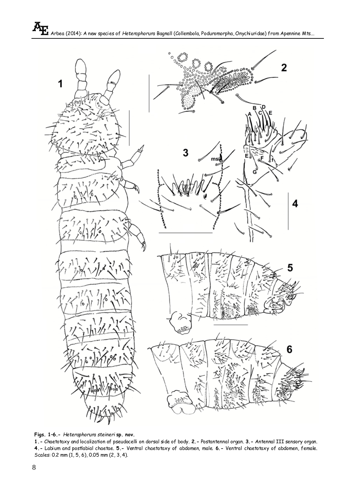

**Figs. 1–6.-** *Heteraphorura steineri* **sp. nov.**

**1.-** Chaetotaxy and localization of pseudocelli on dorsal side of body. **2.-** Postantennal organ. **3.-** Antennal III sensory organ. **4.-** Labium and postlabial chaetae. **5.-** Ventral chaetotaxy of abdomen, male. **6.-** Ventral chaetotaxy of abdomen, female. Scales: 0.2 mm (1, 5, 6), 0.05 mm (2, 3, 4).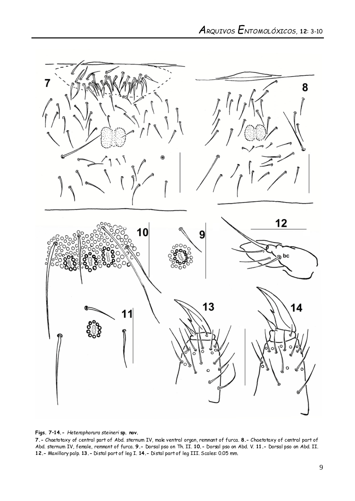

**Figs. 7–14.-** *Heteraphorura steineri* **sp. nov.**

**7.-** Chaetotaxy of central part of Abd. sternum IV, male ventral organ, remnant of furca. **8.-** Chaetotaxy of central part of Abd. sternum IV, female, remnant of furca. **9.-** Dorsal pso on Th. II. **10.-** Dorsal pso on Abd. V. **11.-** Dorsal pso on Abd. II. **12.-** Maxillary palp. **13.-** Distal part of leg I. **14.-** Distal part of leg III. Scales: 0.05 mm.